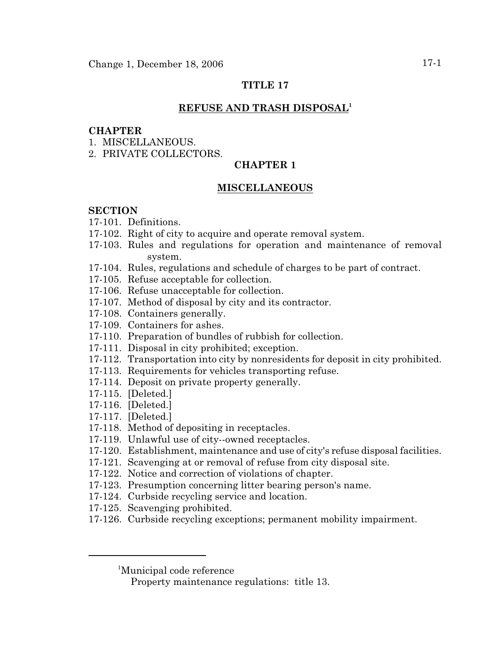# **TITLE 17**

# **REFUSE AND TRASH DISPOSAL<sup>1</sup>**

### **CHAPTER**

- 1. MISCELLANEOUS.
- 2. PRIVATE COLLECTORS.

# **CHAPTER 1**

### **MISCELLANEOUS**

### **SECTION**

- 17-101. Definitions.
- 17-102. Right of city to acquire and operate removal system.
- 17-103. Rules and regulations for operation and maintenance of removal system.
- 17-104. Rules, regulations and schedule of charges to be part of contract.
- 17-105. Refuse acceptable for collection.
- 17-106. Refuse unacceptable for collection.
- 17-107. Method of disposal by city and its contractor.
- 17-108. Containers generally.
- 17-109. Containers for ashes.
- 17-110. Preparation of bundles of rubbish for collection.
- 17-111. Disposal in city prohibited; exception.
- 17-112. Transportation into city by nonresidents for deposit in city prohibited.
- 17-113. Requirements for vehicles transporting refuse.
- 17-114. Deposit on private property generally.
- 17-115. [Deleted.]
- 17-116. [Deleted.]
- 17-117. [Deleted.]
- 17-118. Method of depositing in receptacles.
- 17-119. Unlawful use of city--owned receptacles.
- 17-120. Establishment, maintenance and use of city's refuse disposal facilities.
- 17-121. Scavenging at or removal of refuse from city disposal site.
- 17-122. Notice and correction of violations of chapter.
- 17-123. Presumption concerning litter bearing person's name.
- 17-124. Curbside recycling service and location.
- 17-125. Scavenging prohibited.
- 17-126. Curbside recycling exceptions; permanent mobility impairment.

<sup>&</sup>lt;sup>1</sup>Municipal code reference

Property maintenance regulations: title 13.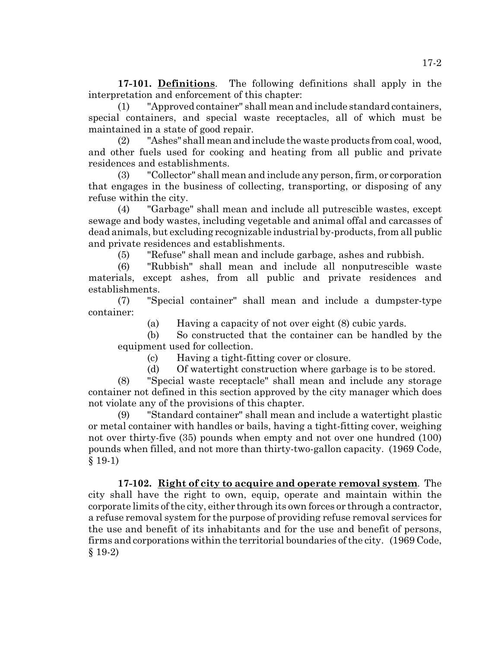**17-101. Definitions**. The following definitions shall apply in the interpretation and enforcement of this chapter:

(1) "Approved container" shall mean and include standard containers, special containers, and special waste receptacles, all of which must be maintained in a state of good repair.

(2) "Ashes" shall mean and include the waste products from coal, wood, and other fuels used for cooking and heating from all public and private residences and establishments.

(3) "Collector" shall mean and include any person, firm, or corporation that engages in the business of collecting, transporting, or disposing of any refuse within the city.

(4) "Garbage" shall mean and include all putrescible wastes, except sewage and body wastes, including vegetable and animal offal and carcasses of dead animals, but excluding recognizable industrial by-products, from all public and private residences and establishments.

(5) "Refuse" shall mean and include garbage, ashes and rubbish.

(6) "Rubbish" shall mean and include all nonputrescible waste materials, except ashes, from all public and private residences and establishments.

(7) "Special container" shall mean and include a dumpster-type container:

(a) Having a capacity of not over eight (8) cubic yards.

(b) So constructed that the container can be handled by the equipment used for collection.

(c) Having a tight-fitting cover or closure.

(d) Of watertight construction where garbage is to be stored.

(8) "Special waste receptacle" shall mean and include any storage container not defined in this section approved by the city manager which does not violate any of the provisions of this chapter.

(9) "Standard container" shall mean and include a watertight plastic or metal container with handles or bails, having a tight-fitting cover, weighing not over thirty-five (35) pounds when empty and not over one hundred (100) pounds when filled, and not more than thirty-two-gallon capacity. (1969 Code,  $§$  19-1)

**17-102. Right of city to acquire and operate removal system**. The city shall have the right to own, equip, operate and maintain within the corporate limits of the city, either through its own forces or through a contractor, a refuse removal system for the purpose of providing refuse removal services for the use and benefit of its inhabitants and for the use and benefit of persons, firms and corporations within the territorial boundaries of the city. (1969 Code, § 19-2)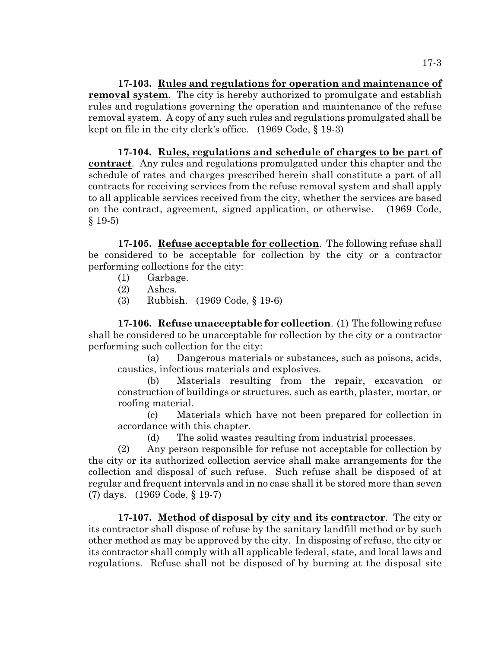**17-103. Rules and regulations for operation and maintenance of removal system**. The city is hereby authorized to promulgate and establish rules and regulations governing the operation and maintenance of the refuse removal system. A copy of any such rules and regulations promulgated shall be kept on file in the city clerk's office. (1969 Code, § 19-3)

**17-104. Rules, regulations and schedule of charges to be part of contract**. Any rules and regulations promulgated under this chapter and the schedule of rates and charges prescribed herein shall constitute a part of all contracts for receiving services from the refuse removal system and shall apply to all applicable services received from the city, whether the services are based on the contract, agreement, signed application, or otherwise. (1969 Code, § 19-5)

**17-105. Refuse acceptable for collection**. The following refuse shall be considered to be acceptable for collection by the city or a contractor performing collections for the city:

- (1) Garbage.
- (2) Ashes.
- (3) Rubbish. (1969 Code, § 19-6)

**17-106. Refuse unacceptable for collection**. (1) The following refuse shall be considered to be unacceptable for collection by the city or a contractor performing such collection for the city:

(a) Dangerous materials or substances, such as poisons, acids, caustics, infectious materials and explosives.

(b) Materials resulting from the repair, excavation or construction of buildings or structures, such as earth, plaster, mortar, or roofing material.

(c) Materials which have not been prepared for collection in accordance with this chapter.

(d) The solid wastes resulting from industrial processes.

(2) Any person responsible for refuse not acceptable for collection by the city or its authorized collection service shall make arrangements for the collection and disposal of such refuse. Such refuse shall be disposed of at regular and frequent intervals and in no case shall it be stored more than seven (7) days. (1969 Code, § 19-7)

**17-107. Method of disposal by city and its contractor**. The city or its contractor shall dispose of refuse by the sanitary landfill method or by such other method as may be approved by the city. In disposing of refuse, the city or its contractor shall comply with all applicable federal, state, and local laws and regulations. Refuse shall not be disposed of by burning at the disposal site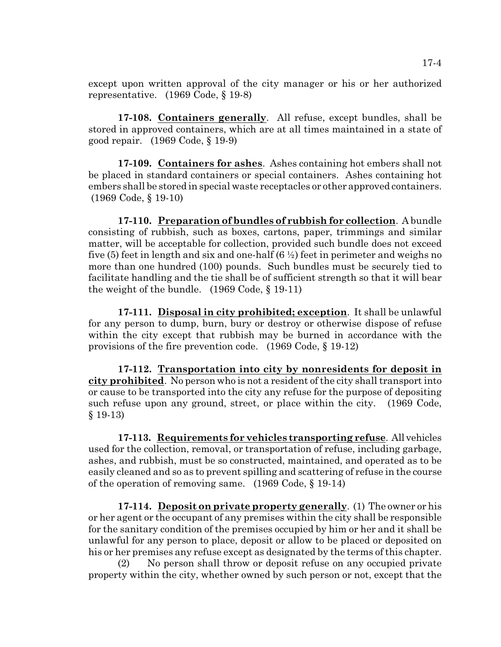except upon written approval of the city manager or his or her authorized representative. (1969 Code, § 19-8)

**17-108. Containers generally**. All refuse, except bundles, shall be stored in approved containers, which are at all times maintained in a state of good repair. (1969 Code, § 19-9)

**17-109. Containers for ashes**. Ashes containing hot embers shall not be placed in standard containers or special containers. Ashes containing hot embers shall be stored in special waste receptacles or other approved containers. (1969 Code, § 19-10)

**17-110. Preparation of bundles of rubbish for collection**. A bundle consisting of rubbish, such as boxes, cartons, paper, trimmings and similar matter, will be acceptable for collection, provided such bundle does not exceed five (5) feet in length and six and one-half  $(6 \frac{1}{2})$  feet in perimeter and weighs no more than one hundred (100) pounds. Such bundles must be securely tied to facilitate handling and the tie shall be of sufficient strength so that it will bear the weight of the bundle. (1969 Code, § 19-11)

**17-111. Disposal in city prohibited; exception**. It shall be unlawful for any person to dump, burn, bury or destroy or otherwise dispose of refuse within the city except that rubbish may be burned in accordance with the provisions of the fire prevention code. (1969 Code, § 19-12)

**17-112. Transportation into city by nonresidents for deposit in city prohibited**. No person who is not a resident of the city shall transport into or cause to be transported into the city any refuse for the purpose of depositing such refuse upon any ground, street, or place within the city. (1969 Code, § 19-13)

**17-113. Requirements for vehicles transporting refuse**. All vehicles used for the collection, removal, or transportation of refuse, including garbage, ashes, and rubbish, must be so constructed, maintained, and operated as to be easily cleaned and so as to prevent spilling and scattering of refuse in the course of the operation of removing same. (1969 Code, § 19-14)

**17-114. Deposit on private property generally**. (1) The owner or his or her agent or the occupant of any premises within the city shall be responsible for the sanitary condition of the premises occupied by him or her and it shall be unlawful for any person to place, deposit or allow to be placed or deposited on his or her premises any refuse except as designated by the terms of this chapter.

(2) No person shall throw or deposit refuse on any occupied private property within the city, whether owned by such person or not, except that the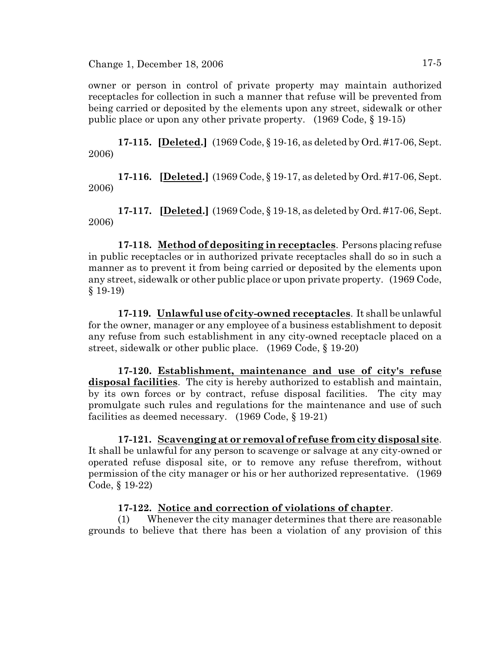Change 1, December 18, 2006 17-5

owner or person in control of private property may maintain authorized receptacles for collection in such a manner that refuse will be prevented from being carried or deposited by the elements upon any street, sidewalk or other public place or upon any other private property. (1969 Code, § 19-15)

**17-115. [Deleted.]** (1969 Code, § 19-16, as deleted by Ord. #17-06, Sept. 2006)

**17-116. [Deleted.]** (1969 Code, § 19-17, as deleted by Ord. #17-06, Sept. 2006)

**17-117. [Deleted.]** (1969 Code, § 19-18, as deleted by Ord. #17-06, Sept. 2006)

**17-118. Method of depositing in receptacles**. Persons placing refuse in public receptacles or in authorized private receptacles shall do so in such a manner as to prevent it from being carried or deposited by the elements upon any street, sidewalk or other public place or upon private property. (1969 Code, § 19-19)

**17-119. Unlawful use of city-owned receptacles**. It shall be unlawful for the owner, manager or any employee of a business establishment to deposit any refuse from such establishment in any city-owned receptacle placed on a street, sidewalk or other public place. (1969 Code, § 19-20)

**17-120. Establishment, maintenance and use of city's refuse disposal facilities**. The city is hereby authorized to establish and maintain, by its own forces or by contract, refuse disposal facilities. The city may promulgate such rules and regulations for the maintenance and use of such facilities as deemed necessary. (1969 Code, § 19-21)

**17-121. Scavenging at or removal of refuse from city disposal site**. It shall be unlawful for any person to scavenge or salvage at any city-owned or operated refuse disposal site, or to remove any refuse therefrom, without permission of the city manager or his or her authorized representative. (1969 Code, § 19-22)

### **17-122. Notice and correction of violations of chapter**.

(1) Whenever the city manager determines that there are reasonable grounds to believe that there has been a violation of any provision of this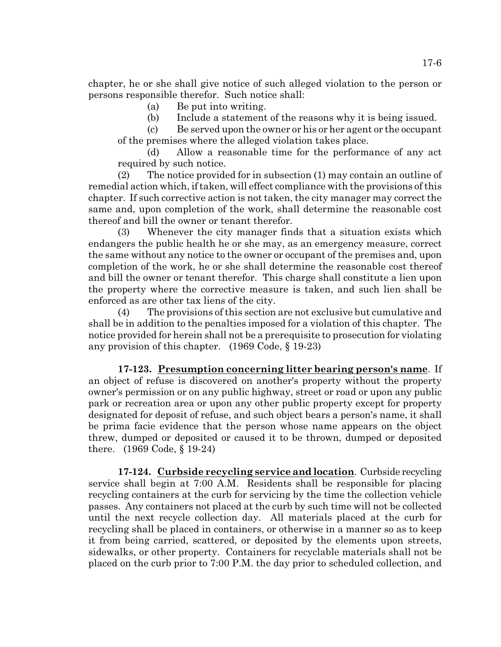chapter, he or she shall give notice of such alleged violation to the person or persons responsible therefor. Such notice shall:

(a) Be put into writing.

(b) Include a statement of the reasons why it is being issued.

(c) Be served upon the owner or his or her agent or the occupant of the premises where the alleged violation takes place.

(d) Allow a reasonable time for the performance of any act required by such notice.

(2) The notice provided for in subsection (1) may contain an outline of remedial action which, iftaken, will effect compliance with the provisions of this chapter. If such corrective action is not taken, the city manager may correct the same and, upon completion of the work, shall determine the reasonable cost thereof and bill the owner or tenant therefor.

(3) Whenever the city manager finds that a situation exists which endangers the public health he or she may, as an emergency measure, correct the same without any notice to the owner or occupant of the premises and, upon completion of the work, he or she shall determine the reasonable cost thereof and bill the owner or tenant therefor. This charge shall constitute a lien upon the property where the corrective measure is taken, and such lien shall be enforced as are other tax liens of the city.

(4) The provisions of this section are not exclusive but cumulative and shall be in addition to the penalties imposed for a violation of this chapter. The notice provided for herein shall not be a prerequisite to prosecution for violating any provision of this chapter. (1969 Code, § 19-23)

**17-123. Presumption concerning litter bearing person's name**. If an object of refuse is discovered on another's property without the property owner's permission or on any public highway, street or road or upon any public park or recreation area or upon any other public property except for property designated for deposit of refuse, and such object bears a person's name, it shall be prima facie evidence that the person whose name appears on the object threw, dumped or deposited or caused it to be thrown, dumped or deposited there. (1969 Code, § 19-24)

**17-124. Curbside recycling service and location**. Curbside recycling service shall begin at 7:00 A.M. Residents shall be responsible for placing recycling containers at the curb for servicing by the time the collection vehicle passes. Any containers not placed at the curb by such time will not be collected until the next recycle collection day. All materials placed at the curb for recycling shall be placed in containers, or otherwise in a manner so as to keep it from being carried, scattered, or deposited by the elements upon streets, sidewalks, or other property. Containers for recyclable materials shall not be placed on the curb prior to 7:00 P.M. the day prior to scheduled collection, and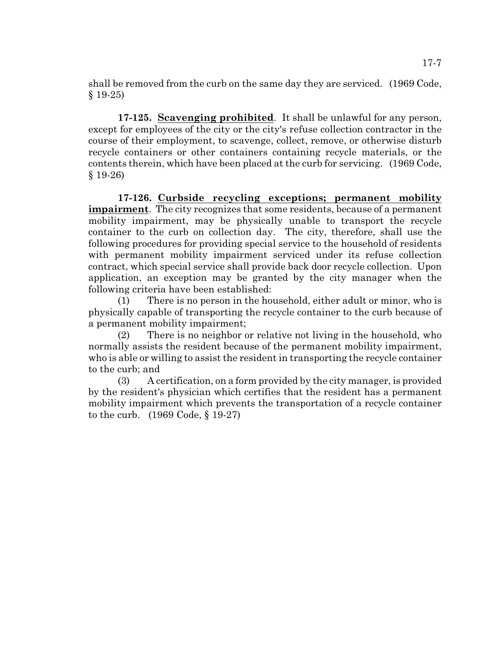shall be removed from the curb on the same day they are serviced. (1969 Code, § 19-25)

**17-125. Scavenging prohibited**. It shall be unlawful for any person, except for employees of the city or the city's refuse collection contractor in the course of their employment, to scavenge, collect, remove, or otherwise disturb recycle containers or other containers containing recycle materials, or the contents therein, which have been placed at the curb for servicing. (1969 Code, § 19-26)

**17-126. Curbside recycling exceptions; permanent mobility impairment**. The city recognizes that some residents, because of a permanent mobility impairment, may be physically unable to transport the recycle container to the curb on collection day. The city, therefore, shall use the following procedures for providing special service to the household of residents with permanent mobility impairment serviced under its refuse collection contract, which special service shall provide back door recycle collection. Upon application, an exception may be granted by the city manager when the following criteria have been established:

(1) There is no person in the household, either adult or minor, who is physically capable of transporting the recycle container to the curb because of a permanent mobility impairment;

(2) There is no neighbor or relative not living in the household, who normally assists the resident because of the permanent mobility impairment, who is able or willing to assist the resident in transporting the recycle container to the curb; and

(3) A certification, on a form provided by the city manager, is provided by the resident's physician which certifies that the resident has a permanent mobility impairment which prevents the transportation of a recycle container to the curb. (1969 Code, § 19-27)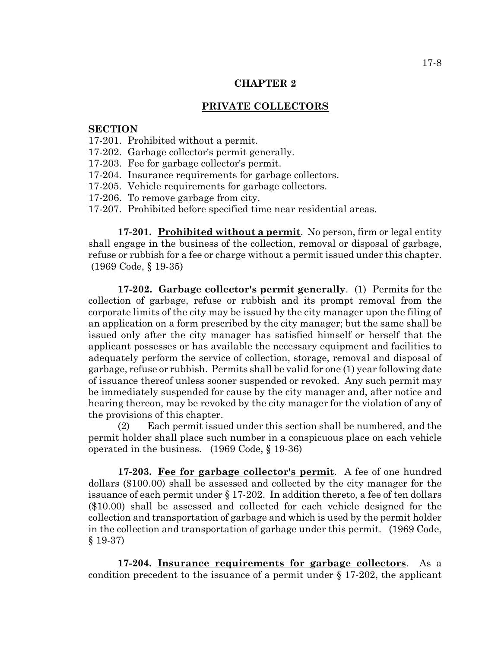#### **CHAPTER 2**

#### **PRIVATE COLLECTORS**

#### **SECTION**

- 17-201. Prohibited without a permit.
- 17-202. Garbage collector's permit generally.
- 17-203. Fee for garbage collector's permit.
- 17-204. Insurance requirements for garbage collectors.
- 17-205. Vehicle requirements for garbage collectors.
- 17-206. To remove garbage from city.
- 17-207. Prohibited before specified time near residential areas.

**17-201. Prohibited without a permit**. No person, firm or legal entity shall engage in the business of the collection, removal or disposal of garbage, refuse or rubbish for a fee or charge without a permit issued under this chapter. (1969 Code, § 19-35)

**17-202. Garbage collector's permit generally**. (1) Permits for the collection of garbage, refuse or rubbish and its prompt removal from the corporate limits of the city may be issued by the city manager upon the filing of an application on a form prescribed by the city manager; but the same shall be issued only after the city manager has satisfied himself or herself that the applicant possesses or has available the necessary equipment and facilities to adequately perform the service of collection, storage, removal and disposal of garbage, refuse or rubbish. Permits shall be valid for one (1) year following date of issuance thereof unless sooner suspended or revoked. Any such permit may be immediately suspended for cause by the city manager and, after notice and hearing thereon, may be revoked by the city manager for the violation of any of the provisions of this chapter.

(2) Each permit issued under this section shall be numbered, and the permit holder shall place such number in a conspicuous place on each vehicle operated in the business. (1969 Code, § 19-36)

**17-203. Fee for garbage collector's permit**. A fee of one hundred dollars (\$100.00) shall be assessed and collected by the city manager for the issuance of each permit under § 17-202. In addition thereto, a fee of ten dollars (\$10.00) shall be assessed and collected for each vehicle designed for the collection and transportation of garbage and which is used by the permit holder in the collection and transportation of garbage under this permit. (1969 Code, § 19-37)

**17-204. Insurance requirements for garbage collectors**. As a condition precedent to the issuance of a permit under § 17-202, the applicant